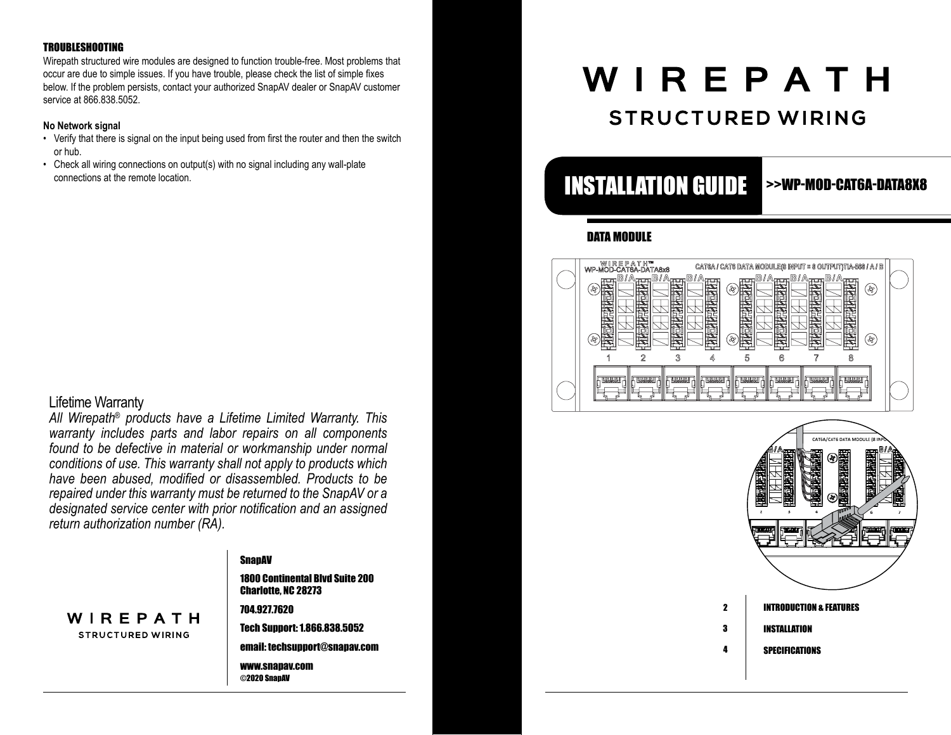#### TROUBLESHOOTING

Wirepath structured wire modules are designed to function trouble-free. Most problems that occur are due to simple issues. If you have trouble, please check the list of simple fixes below. If the problem persists, contact your authorized SnapAV dealer or SnapAV customer service at 866.838.5052.

#### **No Network signal**

- Verify that there is signal on the input being used from first the router and then the switch or hub.
- Check all wiring connections on output(s) with no signal including any wall-plate

#### Lifetime Warranty

*All Wirepath® products have a Lifetime Limited Warranty. This warranty includes parts and labor repairs on all components found to be defective in material or workmanship under normal conditions of use. This warranty shall not apply to products which have been abused, modified or disassembled. Products to be repaired under this warranty must be returned to the SnapAV or a designated service center with prior notification and an assigned return authorization number (RA).* 



#### **SnapAV**

1800 Continental Blvd Suite 200 Charlotte, NC 28273

704.927.7620 Tech Support: 1.866.838.5052

email: techsupport@snapav.com

www.snapav.com ©2020 SnapAV

# WIREPATH

### **STRUCTURED WIRING**

## connections at the remote location. **INSTALLATION GUIDE**

>>WP-MOD-CAT6A-DATA8X8

#### DATA MODULE